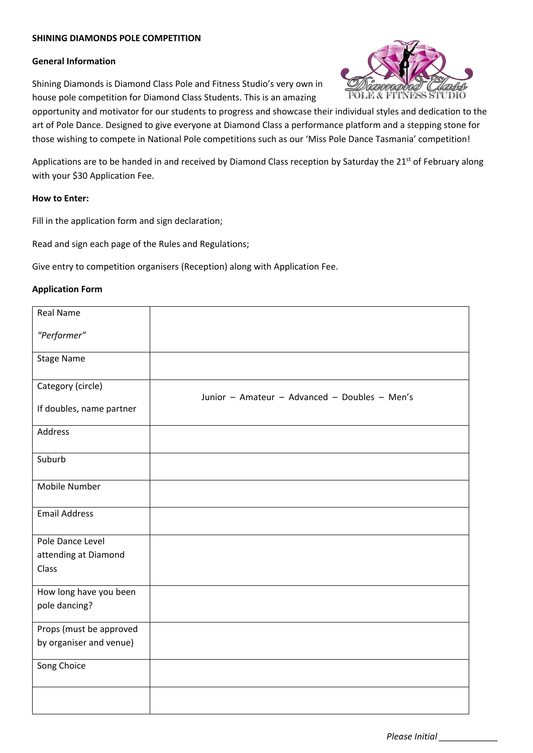## **SHINING DIAMONDS POLE COMPETITION**

### **General Information**

Shining Diamonds is Diamond Class Pole and Fitness Studio's very own in house pole competition for Diamond Class Students. This is an amazing



opportunity and motivator for our students to progress and showcase their individual styles and dedication to the art of Pole Dance. Designed to give everyone at Diamond Class a performance platform and a stepping stone for those wishing to compete in National Pole competitions such as our 'Miss Pole Dance Tasmania' competition!

Applications are to be handed in and received by Diamond Class reception by Saturday the 21<sup>st</sup> of February along with your \$30 Application Fee.

#### **How to Enter:**

Fill in the application form and sign declaration;

Read and sign each page of the Rules and Regulations;

Give entry to competition organisers (Reception) along with Application Fee.

#### **Application Form**

| <b>Real Name</b>         |                                               |  |  |
|--------------------------|-----------------------------------------------|--|--|
| "Performer"              |                                               |  |  |
| <b>Stage Name</b>        |                                               |  |  |
|                          |                                               |  |  |
| Category (circle)        | Junior - Amateur - Advanced - Doubles - Men's |  |  |
| If doubles, name partner |                                               |  |  |
| Address                  |                                               |  |  |
| Suburb                   |                                               |  |  |
| Mobile Number            |                                               |  |  |
| <b>Email Address</b>     |                                               |  |  |
| Pole Dance Level         |                                               |  |  |
| attending at Diamond     |                                               |  |  |
| Class                    |                                               |  |  |
| How long have you been   |                                               |  |  |
| pole dancing?            |                                               |  |  |
| Props (must be approved  |                                               |  |  |
| by organiser and venue)  |                                               |  |  |
| Song Choice              |                                               |  |  |
|                          |                                               |  |  |

*Please Initial \_\_\_\_\_\_\_\_\_\_\_\_*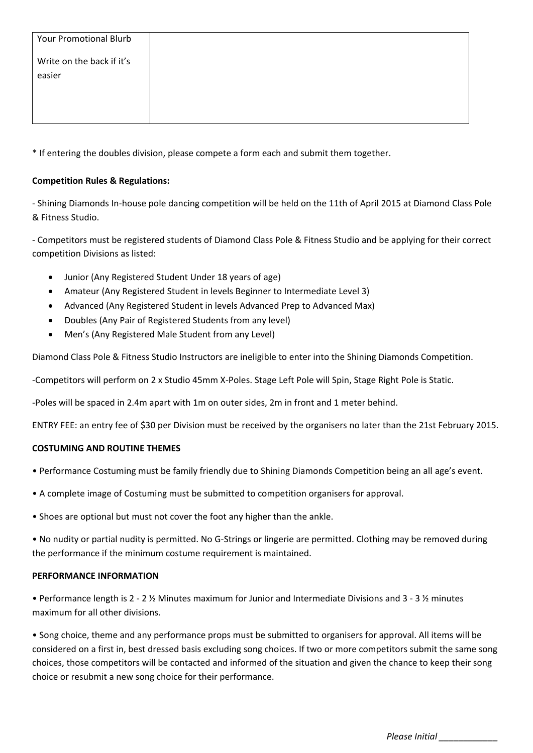| <b>Your Promotional Blurb</b>       |  |  |
|-------------------------------------|--|--|
| Write on the back if it's<br>easier |  |  |

\* If entering the doubles division, please compete a form each and submit them together.

# **Competition Rules & Regulations:**

- Shining Diamonds In-house pole dancing competition will be held on the 11th of April 2015 at Diamond Class Pole & Fitness Studio.

- Competitors must be registered students of Diamond Class Pole & Fitness Studio and be applying for their correct competition Divisions as listed:

- Junior (Any Registered Student Under 18 years of age)
- Amateur (Any Registered Student in levels Beginner to Intermediate Level 3)
- Advanced (Any Registered Student in levels Advanced Prep to Advanced Max)
- Doubles (Any Pair of Registered Students from any level)
- Men's (Any Registered Male Student from any Level)

Diamond Class Pole & Fitness Studio Instructors are ineligible to enter into the Shining Diamonds Competition.

-Competitors will perform on 2 x Studio 45mm X-Poles. Stage Left Pole will Spin, Stage Right Pole is Static.

-Poles will be spaced in 2.4m apart with 1m on outer sides, 2m in front and 1 meter behind.

ENTRY FEE: an entry fee of \$30 per Division must be received by the organisers no later than the 21st February 2015.

## **COSTUMING AND ROUTINE THEMES**

- Performance Costuming must be family friendly due to Shining Diamonds Competition being an all age's event.
- A complete image of Costuming must be submitted to competition organisers for approval.
- Shoes are optional but must not cover the foot any higher than the ankle.

• No nudity or partial nudity is permitted. No G-Strings or lingerie are permitted. Clothing may be removed during the performance if the minimum costume requirement is maintained.

## **PERFORMANCE INFORMATION**

• Performance length is 2 - 2 ½ Minutes maximum for Junior and Intermediate Divisions and 3 - 3 ½ minutes maximum for all other divisions.

• Song choice, theme and any performance props must be submitted to organisers for approval. All items will be considered on a first in, best dressed basis excluding song choices. If two or more competitors submit the same song choices, those competitors will be contacted and informed of the situation and given the chance to keep their song choice or resubmit a new song choice for their performance.

*Please Initial \_\_\_\_\_\_\_\_\_\_\_\_*